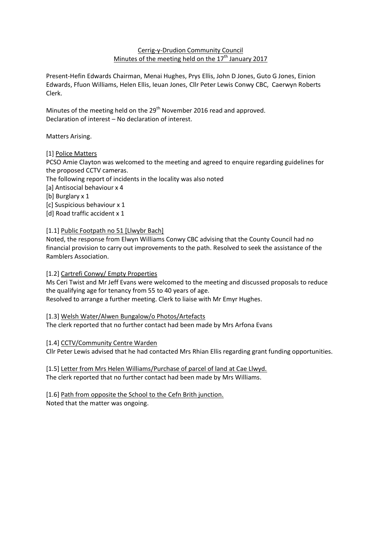## Cerrig-y-Drudion Community Council Minutes of the meeting held on the  $17<sup>th</sup>$  January 2017

Present-Hefin Edwards Chairman, Menai Hughes, Prys Ellis, John D Jones, Guto G Jones, Einion Edwards, Ffuon Williams, Helen Ellis, Ieuan Jones, Cllr Peter Lewis Conwy CBC, Caerwyn Roberts Clerk.

Minutes of the meeting held on the 29<sup>th</sup> November 2016 read and approved. Declaration of interest – No declaration of interest.

Matters Arising.

# [1] Police Matters

PCSO Amie Clayton was welcomed to the meeting and agreed to enquire regarding guidelines for the proposed CCTV cameras.

The following report of incidents in the locality was also noted

[a] Antisocial behaviour x 4

[b] Burglary x 1

[c] Suspicious behaviour x 1

[d] Road traffic accident x 1

## [1.1] Public Footpath no 51 [Llwybr Bach]

Noted, the response from Elwyn Williams Conwy CBC advising that the County Council had no financial provision to carry out improvements to the path. Resolved to seek the assistance of the Ramblers Association.

# [1.2] Cartrefi Conwy/ Empty Properties

Ms Ceri Twist and Mr Jeff Evans were welcomed to the meeting and discussed proposals to reduce the qualifying age for tenancy from 55 to 40 years of age.

Resolved to arrange a further meeting. Clerk to liaise with Mr Emyr Hughes.

[1.3] Welsh Water/Alwen Bungalow/o Photos/Artefacts The clerk reported that no further contact had been made by Mrs Arfona Evans

# [1.4] CCTV/Community Centre Warden

Cllr Peter Lewis advised that he had contacted Mrs Rhian Ellis regarding grant funding opportunities.

[1.5] Letter from Mrs Helen Williams/Purchase of parcel of land at Cae Llwyd. The clerk reported that no further contact had been made by Mrs Williams.

[1.6] Path from opposite the School to the Cefn Brith junction. Noted that the matter was ongoing.